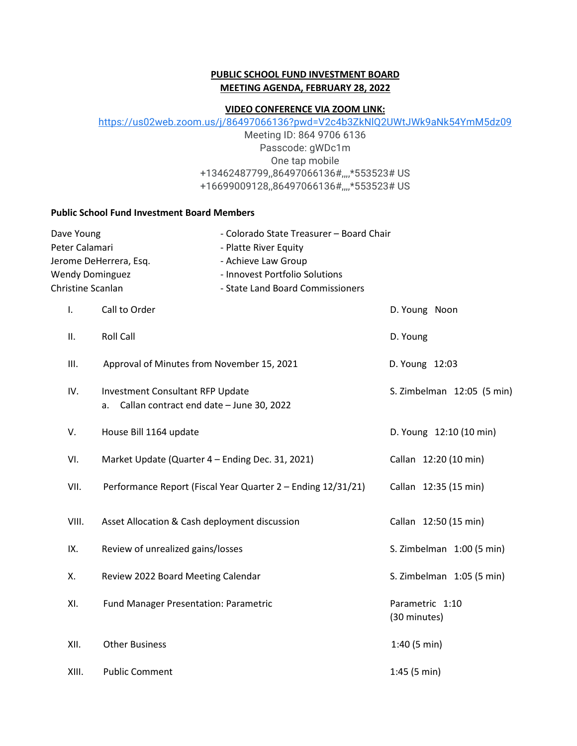### **PUBLIC SCHOOL FUND INVESTMENT BOARD MEETING AGENDA, FEBRUARY 28, 2022**

#### **VIDEO CONFERENCE VIA ZOOM LINK:**

[https://us02web.zoom.us/j/86497066136?pwd=V2c4b3ZkNlQ2UWtJWk9aNk54YmM5dz09](https://www.google.com/url?q=https://us02web.zoom.us/j/86497066136?pwd%3DV2c4b3ZkNlQ2UWtJWk9aNk54YmM5dz09&sa=D&source=calendar&usd=2&usg=AOvVaw3vzz6r60HI0xzOeU5E9p_Y)

Meeting ID: 864 9706 6136 Passcode: gWDc1m One tap mobile +13462487799,,86497066136#,,,,\*553523# US +16699009128,,86497066136#,,,,\*553523# US

#### **Public School Fund Investment Board Members**

| Dave Young<br>Peter Calamari<br>Jerome DeHerrera, Esq.<br><b>Wendy Dominguez</b><br>Christine Scanlan |                                                                                           | - Colorado State Treasurer - Board Chair<br>- Platte River Equity<br>- Achieve Law Group<br>- Innovest Portfolio Solutions<br>- State Land Board Commissioners |                                 |
|-------------------------------------------------------------------------------------------------------|-------------------------------------------------------------------------------------------|----------------------------------------------------------------------------------------------------------------------------------------------------------------|---------------------------------|
| I.                                                                                                    | Call to Order                                                                             |                                                                                                                                                                | D. Young Noon                   |
| ΙΙ.                                                                                                   | <b>Roll Call</b>                                                                          |                                                                                                                                                                | D. Young                        |
| Ш.                                                                                                    | Approval of Minutes from November 15, 2021                                                |                                                                                                                                                                | D. Young 12:03                  |
| IV.                                                                                                   | <b>Investment Consultant RFP Update</b><br>Callan contract end date - June 30, 2022<br>а. |                                                                                                                                                                | S. Zimbelman 12:05 (5 min)      |
| V.                                                                                                    | House Bill 1164 update                                                                    |                                                                                                                                                                | D. Young 12:10 (10 min)         |
| VI.                                                                                                   | Market Update (Quarter 4 - Ending Dec. 31, 2021)                                          |                                                                                                                                                                | Callan 12:20 (10 min)           |
| VII.                                                                                                  |                                                                                           | Performance Report (Fiscal Year Quarter 2 - Ending 12/31/21)                                                                                                   | Callan 12:35 (15 min)           |
| VIII.                                                                                                 | Asset Allocation & Cash deployment discussion                                             |                                                                                                                                                                | Callan 12:50 (15 min)           |
| IX.                                                                                                   | Review of unrealized gains/losses                                                         |                                                                                                                                                                | S. Zimbelman 1:00 (5 min)       |
| Х.                                                                                                    | Review 2022 Board Meeting Calendar                                                        |                                                                                                                                                                | S. Zimbelman 1:05 (5 min)       |
| XI.                                                                                                   | <b>Fund Manager Presentation: Parametric</b>                                              |                                                                                                                                                                | Parametric 1:10<br>(30 minutes) |
| XII.                                                                                                  | <b>Other Business</b>                                                                     |                                                                                                                                                                | 1:40(5 min)                     |
| XIII.                                                                                                 | <b>Public Comment</b>                                                                     |                                                                                                                                                                | 1:45(5 min)                     |